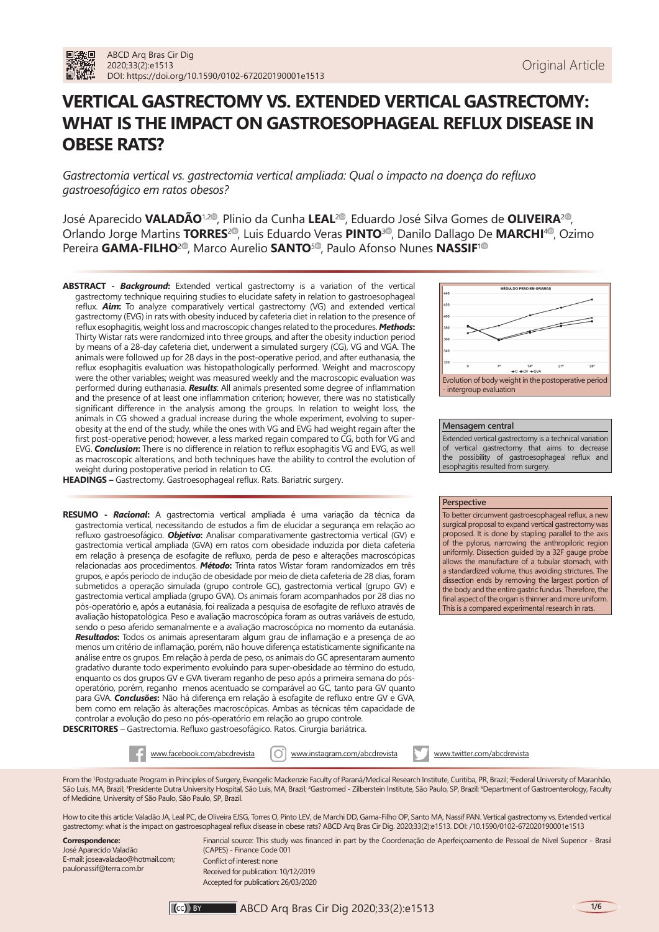# **VERTICAL GASTRECTOMY VS. EXTENDED VERTICAL GASTRECTOMY: WHAT IS THE IMPACT ON GASTROESOPHAGEAL REFLUX DISEASE IN OBESE RATS?**

*Gastrectomia vertical vs. gastrectomia vertical ampliada: Qual o impacto na doença do refluxo gastroesofágico em ratos obesos?*

José Aparecido **VALADÃO**<sup>1[,](https://orcid.org/0000-0002-9783-898X)[2](https://orcid.org/0000-0003-0883-4774)®</sup>, Plinio da Cunha LEAL<sup>2®</sup>, Eduardo José Silva Gomes de OLIVEIRA<sup>2®</sup>, Orlando Jorge Martins **TORRES<sup>2®</sup>**[,](https://orcid.org/0000-0001-5577-2815) Luis Eduardo Veras PINTO<sup>3®</sup>[,](https://orcid.org/0000-0002-5544-8641) Danilo Dallago De MARCHI<sup>4®</sup>, Ozimo Pereira **GAMA-FILHO<sup>2®</sup>**[,](https://orcid.org/0000-0001-5669-4169) Marco Aurelio **SANTO<sup>[5](https://orcid.org/0000-0002-7813-6210)®</sup>**, Paulo Afonso Nunes **NASSIF**<sup>[1](https://orcid.org/0000-0002-1752-5837)®</sup>

**ABSTRACT -** *Background***:** Extended vertical gastrectomy is a variation of the vertical gastrectomy technique requiring studies to elucidate safety in relation to gastroesophageal reflux. *Aim***:** To analyze comparatively vertical gastrectomy (VG) and extended vertical gastrectomy (EVG) in rats with obesity induced by cafeteria diet in relation to the presence of reflux esophagitis, weight loss and macroscopic changes related to the procedures. *Methods***:** Thirty Wistar rats were randomized into three groups, and after the obesity induction period by means of a 28-day cafeteria diet, underwent a simulated surgery (CG), VG and VGA. The animals were followed up for 28 days in the post-operative period, and after euthanasia, the reflux esophagitis evaluation was histopathologically performed. Weight and macroscopy were the other variables; weight was measured weekly and the macroscopic evaluation was performed during euthanasia. *Results*: All animals presented some degree of inflammation and the presence of at least one inflammation criterion; however, there was no statistically significant difference in the analysis among the groups. In relation to weight loss, the animals in CG showed a gradual increase during the whole experiment, evolving to superobesity at the end of the study, while the ones with VG and EVG had weight regain after the first post-operative period; however, a less marked regain compared to CG, both for VG and EVG. *Conclusion***:** There is no difference in relation to reflux esophagitis VG and EVG, as well as macroscopic alterations, and both techniques have the ability to control the evolution of weight during postoperative period in relation to CG.



### **Mensagem central**

Extended vertical gastrectomy is a technical variation of vertical gastrectomy that aims to decrease the possibility of gastroesophageal reflux and esophagitis resulted from surgery.

### **Perspective**

To better circumvent gastroesophageal reflux, a new surgical proposal to expand vertical gastrectomy was proposed. It is done by stapling parallel to the axis of the pylorus, narrowing the anthropiloric region uniformly. Dissection guided by a 32F gauge probe allows the manufacture of a tubular stomach, with a standardized volume, thus avoiding strictures. The dissection ends by removing the largest portion of the body and the entire gastric fundus. Therefore, the final aspect of the organ is thinner and more uniform. This is a compared experimental research in rats.

**HEADINGS –** Gastrectomy. Gastroesophageal reflux. Rats. Bariatric surgery.

**RESUMO -** *Racional***:** A gastrectomia vertical ampliada é uma variação da técnica da gastrectomia vertical, necessitando de estudos a fim de elucidar a segurança em relação ao refluxo gastroesofágico. *Objetivo***:** Analisar comparativamente gastrectomia vertical (GV) e gastrectomia vertical ampliada (GVA) em ratos com obesidade induzida por dieta cafeteria em relação à presença de esofagite de refluxo, perda de peso e alterações macroscópicas relacionadas aos procedimentos. *Método***:** Trinta ratos Wistar foram randomizados em três grupos, e após período de indução de obesidade por meio de dieta cafeteria de 28 dias, foram submetidos a operação simulada (grupo controle GC), gastrectomia vertical (grupo GV) e gastrectomia vertical ampliada (grupo GVA). Os animais foram acompanhados por 28 dias no pós-operatório e, após a eutanásia, foi realizada a pesquisa de esofagite de refluxo através de avaliação histopatológica. Peso e avaliação macroscópica foram as outras variáveis de estudo, sendo o peso aferido semanalmente e a avaliação macroscópica no momento da eutanásia. *Resultados***:** Todos os animais apresentaram algum grau de inflamação e a presença de ao menos um critério de inflamação, porém, não houve diferença estatisticamente significante na análise entre os grupos. Em relação à perda de peso, os animais do GC apresentaram aumento gradativo durante todo experimento evoluindo para super-obesidade ao término do estudo, enquanto os dos grupos GV e GVA tiveram reganho de peso após a primeira semana do pósoperatório, porém, reganho menos acentuado se comparável ao GC, tanto para GV quanto para GVA. *Conclusões***:** Não há diferença em relação à esofagite de refluxo entre GV e GVA, bem como em relação às alterações macroscópicas. Ambas as técnicas têm capacidade de controlar a evolução do peso no pós-operatório em relação ao grupo controle.

**DESCRITORES** – Gastrectomia. Refluxo gastroesofágico. Ratos. Cirurgia bariátrica.



From the 1 Postgraduate Program in Principles of Surgery, Evangelic Mackenzie Faculty of Paraná/Medical Research Institute, Curitiba, PR, Brazil; 2 Federal University of Maranhão, São Luis, MA, Brazil; <sup>3</sup>Presidente Dutra University Hospital, São Luis, MA, Brazil; <sup>4</sup>Gastromed - Zilberstein Institute, São Paulo, SP, Brazil; <sup>5</sup>Department of Gastroenterology, Faculty of Medicine, University of São Paulo, São Paulo, SP, Brazil.

How to cite this article: Valadão JA, Leal PC, de Oliveira EJSG, Torres O, Pinto LEV, de Marchi DD, Gama-Filho OP, Santo MA, Nassif PAN. Vertical gastrectomy vs. Extended vertical gastrectomy: what is the impact on gastroesophageal reflux disease in obese rats? ABCD Arq Bras Cir Dig. 2020;33(2):e1513. DOI: /10.1590/0102-672020190001e1513

**Correspondence:**  José Aparecido Valadão E-mail: [joseavaladao@hotmail.com;](mailto:joseavaladao@hotmail.com) paulonassif@terra.com.br

Financial source: This study was financed in part by the Coordenação de Aperfeiçoamento de Pessoal de Nível Superior - Brasil (CAPES) - Finance Code 001 Conflict of interest: none Received for publication: 10/12/2019 Accepted for publication: 26/03/2020

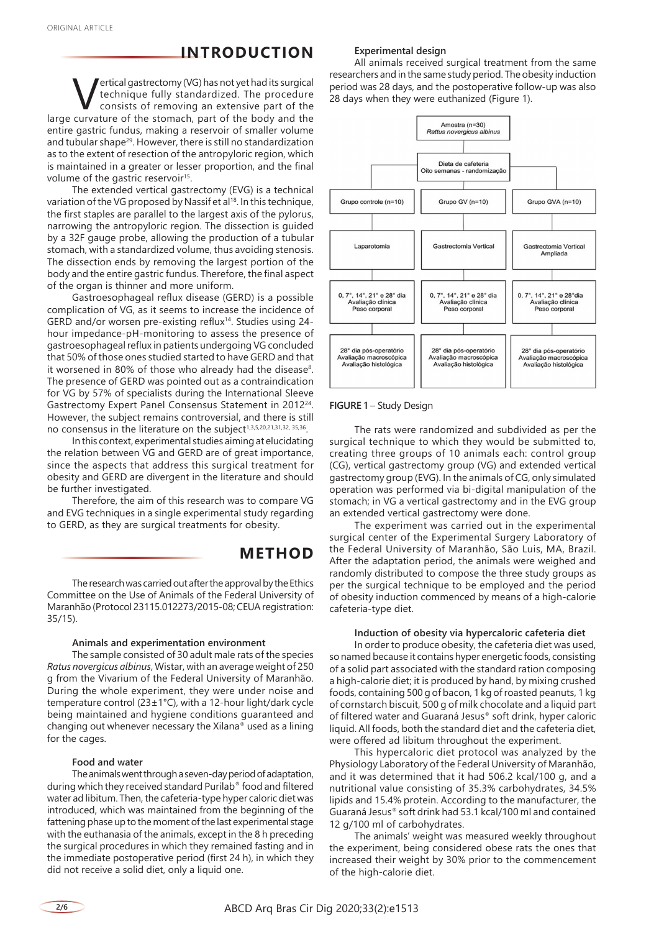# **INTRODUCTION**

**Vertical gastrectomy (VG) has not yet had its surgical<br>technique fully standardized. The procedure<br>consists of removing an extensive part of the<br>curvature of the stomach part of the hody and the** technique fully standardized. The procedure consists of removing an extensive part of the large curvature of the stomach, part of the body and the entire gastric fundus, making a reservoir of smaller volume and tubular shape<sup>29</sup>. However, there is still no standardization as to the extent of resection of the antropyloric region, which is maintained in a greater or lesser proportion, and the final volume of the gastric reservoir<sup>15</sup>.

The extended vertical gastrectomy (EVG) is a technical variation of the VG proposed by Nassif et al<sup>18</sup>. In this technique, the first staples are parallel to the largest axis of the pylorus, narrowing the antropyloric region. The dissection is guided by a 32F gauge probe, allowing the production of a tubular stomach, with a standardized volume, thus avoiding stenosis. The dissection ends by removing the largest portion of the body and the entire gastric fundus. Therefore, the final aspect of the organ is thinner and more uniform.

Gastroesophageal reflux disease (GERD) is a possible complication of VG, as it seems to increase the incidence of GERD and/or worsen pre-existing reflux14. Studies using 24 hour impedance-pH-monitoring to assess the presence of gastroesophageal reflux in patients undergoing VG concluded that 50% of those ones studied started to have GERD and that it worsened in 80% of those who already had the disease<sup>8</sup>. The presence of GERD was pointed out as a contraindication for VG by 57% of specialists during the International Sleeve Gastrectomy Expert Panel Consensus Statement in 201224. However, the subject remains controversial, and there is still no consensus in the literature on the subject<sup>1,3,5,20,21,31,32, 35,36</sup>.

In this context, experimental studies aiming at elucidating the relation between VG and GERD are of great importance, since the aspects that address this surgical treatment for obesity and GERD are divergent in the literature and should be further investigated.

Therefore, the aim of this research was to compare VG and EVG techniques in a single experimental study regarding to GERD, as they are surgical treatments for obesity.

### **METHOD**

The research was carried out after the approval by the Ethics Committee on the Use of Animals of the Federal University of Maranhão (Protocol 23115.012273/2015-08; CEUA registration: 35/15).

#### **Animals and experimentation environment**

The sample consisted of 30 adult male rats of the species *Ratus novergicus albinus*, Wistar, with an average weight of 250 g from the Vivarium of the Federal University of Maranhão. During the whole experiment, they were under noise and temperature control (23±1°C), with a 12-hour light/dark cycle being maintained and hygiene conditions guaranteed and changing out whenever necessary the Xilana*®* used as a lining for the cages.

#### **Food and water**

The animals went through a seven-day period of adaptation, during which they received standard Purilab® food and filtered water ad libitum. Then, the cafeteria-type hyper caloric diet was introduced, which was maintained from the beginning of the fattening phase up to the moment of the last experimental stage with the euthanasia of the animals, except in the 8 h preceding the surgical procedures in which they remained fasting and in the immediate postoperative period (first 24 h), in which they did not receive a solid diet, only a liquid one.

#### **Experimental design**

All animals received surgical treatment from the same researchers and in the same study period. The obesity induction period was 28 days, and the postoperative follow-up was also 28 days when they were euthanized (Figure 1).



#### **FIGURE 1 - Study Design**

The rats were randomized and subdivided as per the surgical technique to which they would be submitted to, creating three groups of 10 animals each: control group (CG), vertical gastrectomy group (VG) and extended vertical gastrectomy group (EVG). In the animals of CG, only simulated operation was performed via bi-digital manipulation of the stomach; in VG a vertical gastrectomy and in the EVG group an extended vertical gastrectomy were done.

The experiment was carried out in the experimental surgical center of the Experimental Surgery Laboratory of the Federal University of Maranhão, São Luis, MA, Brazil. After the adaptation period, the animals were weighed and randomly distributed to compose the three study groups as per the surgical technique to be employed and the period of obesity induction commenced by means of a high-calorie cafeteria-type diet.

#### **Induction of obesity via hypercaloric cafeteria diet**

In order to produce obesity, the cafeteria diet was used, so named because it contains hyper energetic foods, consisting of a solid part associated with the standard ration composing a high-calorie diet; it is produced by hand, by mixing crushed foods, containing 500 g of bacon, 1 kg of roasted peanuts, 1 kg of cornstarch biscuit, 500 g of milk chocolate and a liquid part of filtered water and Guaraná Jesus® soft drink, hyper caloric liquid. All foods, both the standard diet and the cafeteria diet, were offered ad libitum throughout the experiment.

This hypercaloric diet protocol was analyzed by the Physiology Laboratory of the Federal University of Maranhão, and it was determined that it had 506.2 kcal/100 g, and a nutritional value consisting of 35.3% carbohydrates, 34.5% lipids and 15.4% protein. According to the manufacturer, the Guaraná Jesus® soft drink had 53.1 kcal/100 ml and contained 12 g/100 ml of carbohydrates.

The animals' weight was measured weekly throughout the experiment, being considered obese rats the ones that increased their weight by 30% prior to the commencement of the high-calorie diet.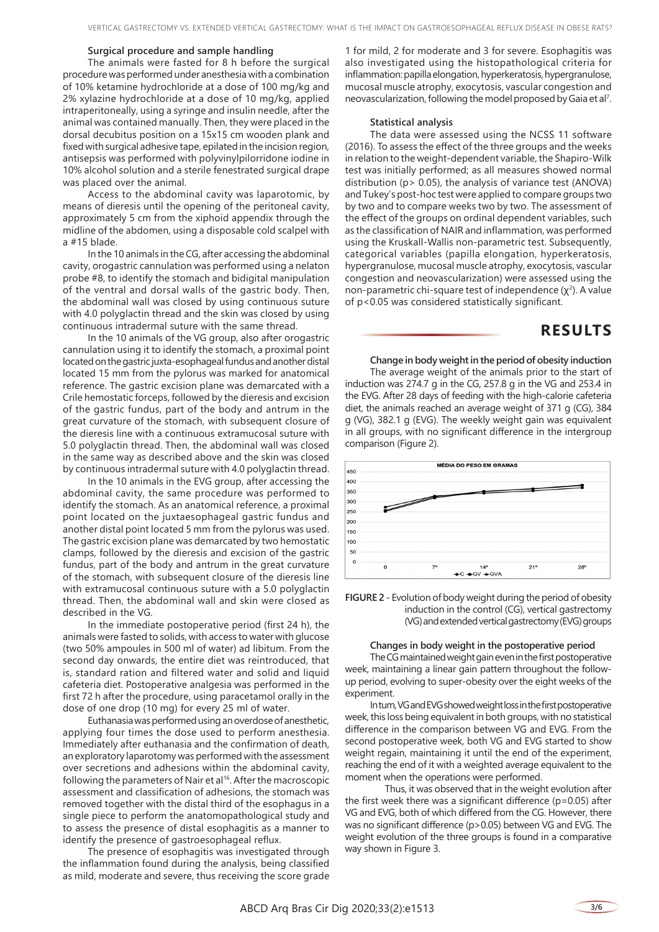#### **Surgical procedure and sample handling**

The animals were fasted for 8 h before the surgical procedure was performed under anesthesia with a combination of 10% ketamine hydrochloride at a dose of 100 mg/kg and 2% xylazine hydrochloride at a dose of 10 mg/kg, applied intraperitoneally, using a syringe and insulin needle, after the animal was contained manually. Then, they were placed in the dorsal decubitus position on a 15x15 cm wooden plank and fixed with surgical adhesive tape, epilated in the incision region, antisepsis was performed with polyvinylpilorridone iodine in 10% alcohol solution and a sterile fenestrated surgical drape was placed over the animal.

Access to the abdominal cavity was laparotomic, by means of dieresis until the opening of the peritoneal cavity, approximately 5 cm from the xiphoid appendix through the midline of the abdomen, using a disposable cold scalpel with a #15 blade.

In the 10 animals in the CG, after accessing the abdominal cavity, orogastric cannulation was performed using a nelaton probe #8, to identify the stomach and bidigital manipulation of the ventral and dorsal walls of the gastric body. Then, the abdominal wall was closed by using continuous suture with 4.0 polyglactin thread and the skin was closed by using continuous intradermal suture with the same thread.

In the 10 animals of the VG group, also after orogastric cannulation using it to identify the stomach, a proximal point located on the gastric juxta-esophageal fundus and another distal located 15 mm from the pylorus was marked for anatomical reference. The gastric excision plane was demarcated with a Crile hemostatic forceps, followed by the dieresis and excision of the gastric fundus, part of the body and antrum in the great curvature of the stomach, with subsequent closure of the dieresis line with a continuous extramucosal suture with 5.0 polyglactin thread. Then, the abdominal wall was closed in the same way as described above and the skin was closed by continuous intradermal suture with 4.0 polyglactin thread.

In the 10 animals in the EVG group, after accessing the abdominal cavity, the same procedure was performed to identify the stomach. As an anatomical reference, a proximal point located on the juxtaesophageal gastric fundus and another distal point located 5 mm from the pylorus was used. The gastric excision plane was demarcated by two hemostatic clamps, followed by the dieresis and excision of the gastric fundus, part of the body and antrum in the great curvature of the stomach, with subsequent closure of the dieresis line with extramucosal continuous suture with a 5.0 polyglactin thread. Then, the abdominal wall and skin were closed as described in the VG.

In the immediate postoperative period (first 24 h), the animals were fasted to solids, with access to water with glucose (two 50% ampoules in 500 ml of water) ad libitum. From the second day onwards, the entire diet was reintroduced, that is, standard ration and filtered water and solid and liquid cafeteria diet. Postoperative analgesia was performed in the first 72 h after the procedure, using paracetamol orally in the dose of one drop (10 mg) for every 25 ml of water.

Euthanasia was performed using an overdose of anesthetic, applying four times the dose used to perform anesthesia. Immediately after euthanasia and the confirmation of death, an exploratory laparotomy was performed with the assessment over secretions and adhesions within the abdominal cavity, following the parameters of Nair et al<sup>16</sup>. After the macroscopic assessment and classification of adhesions, the stomach was removed together with the distal third of the esophagus in a single piece to perform the anatomopathological study and to assess the presence of distal esophagitis as a manner to identify the presence of gastroesophageal reflux.

The presence of esophagitis was investigated through the inflammation found during the analysis, being classified as mild, moderate and severe, thus receiving the score grade 1 for mild, 2 for moderate and 3 for severe. Esophagitis was also investigated using the histopathological criteria for inflammation: papilla elongation, hyperkeratosis, hypergranulose, mucosal muscle atrophy, exocytosis, vascular congestion and neovascularization, following the model proposed by Gaia et al<sup>7</sup>.

#### **Statistical analysis**

The data were assessed using the NCSS 11 software (2016). To assess the effect of the three groups and the weeks in relation to the weight-dependent variable, the Shapiro-Wilk test was initially performed; as all measures showed normal distribution (p> 0.05), the analysis of variance test (ANOVA) and Tukey's post-hoc test were applied to compare groups two by two and to compare weeks two by two. The assessment of the effect of the groups on ordinal dependent variables, such as the classification of NAIR and inflammation, was performed using the Kruskall-Wallis non-parametric test. Subsequently, categorical variables (papilla elongation, hyperkeratosis, hypergranulose, mucosal muscle atrophy, exocytosis, vascular congestion and neovascularization) were assessed using the non-parametric chi-square test of independence  $(\chi^2)$ . A value of p<0.05 was considered statistically significant.

### **RESULTS**

**Change in body weight in the period of obesity induction**

The average weight of the animals prior to the start of induction was 274.7 g in the CG, 257.8 g in the VG and 253.4 in the EVG. After 28 days of feeding with the high-calorie cafeteria diet, the animals reached an average weight of 371 g (CG), 384 g (VG), 382.1 g (EVG). The weekly weight gain was equivalent in all groups, with no significant difference in the intergroup comparison (Figure 2).





### **Changes in body weight in the postoperative period**

The CG maintained weight gain even in the first postoperative week, maintaining a linear gain pattern throughout the followup period, evolving to super-obesity over the eight weeks of the experiment.

In turn, VG and EVG showed weight loss in the first postoperative week, this loss being equivalent in both groups, with no statistical difference in the comparison between VG and EVG. From the second postoperative week, both VG and EVG started to show weight regain, maintaining it until the end of the experiment, reaching the end of it with a weighted average equivalent to the moment when the operations were performed.

Thus, it was observed that in the weight evolution after the first week there was a significant difference  $(p=0.05)$  after VG and EVG, both of which differed from the CG. However, there was no significant difference (p>0.05) between VG and EVG. The weight evolution of the three groups is found in a comparative way shown in Figure 3.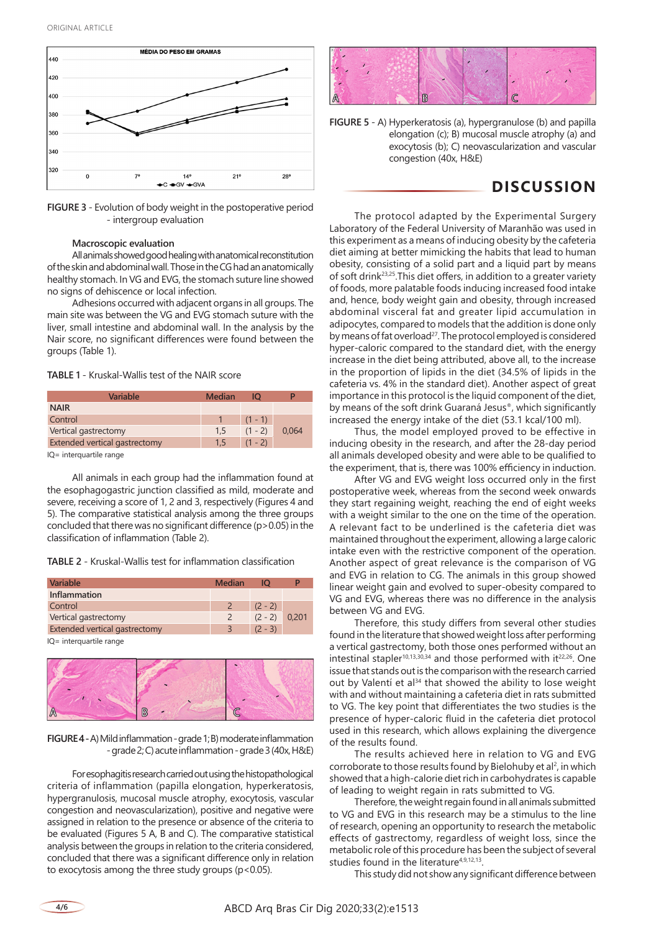

**FIGURE 3** - Evolution of body weight in the postoperative period - intergroup evaluation

#### **Macroscopic evaluation**

All animals showed good healing with anatomical reconstitution of the skin and abdominal wall. Those in the CG had an anatomically healthy stomach. In VG and EVG, the stomach suture line showed no signs of dehiscence or local infection.

Adhesions occurred with adjacent organs in all groups. The main site was between the VG and EVG stomach suture with the liver, small intestine and abdominal wall. In the analysis by the Nair score, no significant differences were found between the groups (Table 1).

**TABLE 1** - Kruskal-Wallis test of the NAIR score

| Variable                      | <b>Median</b> | IО        |       |
|-------------------------------|---------------|-----------|-------|
| <b>NAIR</b>                   |               |           |       |
| Control                       |               | $(1 - 1)$ |       |
| Vertical gastrectomy          | 1.5           | $(1 - 2)$ | 0,064 |
| Extended vertical gastrectomy | $1.5\,$       | $(1 - 2)$ |       |
|                               |               |           |       |

IQ= interquartile range

All animals in each group had the inflammation found at the esophagogastric junction classified as mild, moderate and severe, receiving a score of 1, 2 and 3, respectively (Figures 4 and 5). The comparative statistical analysis among the three groups concluded that there was no significant difference (p>0.05) in the classification of inflammation (Table 2).

**TABLE 2** - Kruskal-Wallis test for inflammation classification

| <b>Variable</b>               | Median         | IO        |       |
|-------------------------------|----------------|-----------|-------|
| <b>Inflammation</b>           |                |           |       |
| Control                       | $\mathcal{P}$  | $(2 - 2)$ |       |
| Vertical gastrectomy          | $\mathcal{L}$  | $(2 - 2)$ | 0.201 |
| Extended vertical gastrectomy | $\overline{3}$ | $(2 - 3)$ |       |
| IQ= interquartile range       |                |           |       |



**FIGURE 4 -** A) Mild inflammation - grade 1; B) moderate inflammation - grade 2; C) acute inflammation - grade 3 (40x, H&E)

For esophagitis research carried out using the histopathological criteria of inflammation (papilla elongation, hyperkeratosis, hypergranulosis, mucosal muscle atrophy, exocytosis, vascular congestion and neovascularization), positive and negative were assigned in relation to the presence or absence of the criteria to be evaluated (Figures 5 A, B and C). The comparative statistical analysis between the groups in relation to the criteria considered, concluded that there was a significant difference only in relation to exocytosis among the three study groups (p<0.05).



**FIGURE 5** - A) Hyperkeratosis (a), hypergranulose (b) and papilla elongation (c); B) mucosal muscle atrophy (a) and exocytosis (b); C) neovascularization and vascular congestion (40x, H&E)

# **DISCUSSION**

The protocol adapted by the Experimental Surgery Laboratory of the Federal University of Maranhão was used in this experiment as a means of inducing obesity by the cafeteria diet aiming at better mimicking the habits that lead to human obesity, consisting of a solid part and a liquid part by means of soft drink23,25.This diet offers, in addition to a greater variety of foods, more palatable foods inducing increased food intake and, hence, body weight gain and obesity, through increased abdominal visceral fat and greater lipid accumulation in adipocytes, compared to models that the addition is done only by means of fat overload<sup>27</sup>. The protocol employed is considered hyper-caloric compared to the standard diet, with the energy increase in the diet being attributed, above all, to the increase in the proportion of lipids in the diet (34.5% of lipids in the cafeteria vs. 4% in the standard diet). Another aspect of great importance in this protocol is the liquid component of the diet, by means of the soft drink Guaraná Jesus®, which significantly increased the energy intake of the diet (53.1 kcal/100 ml).

Thus, the model employed proved to be effective in inducing obesity in the research, and after the 28-day period all animals developed obesity and were able to be qualified to the experiment, that is, there was 100% efficiency in induction.

After VG and EVG weight loss occurred only in the first postoperative week, whereas from the second week onwards they start regaining weight, reaching the end of eight weeks with a weight similar to the one on the time of the operation. A relevant fact to be underlined is the cafeteria diet was maintained throughout the experiment, allowing a large caloric intake even with the restrictive component of the operation. Another aspect of great relevance is the comparison of VG and EVG in relation to CG. The animals in this group showed linear weight gain and evolved to super-obesity compared to VG and EVG, whereas there was no difference in the analysis between VG and EVG.

Therefore, this study differs from several other studies found in the literature that showed weight loss after performing a vertical gastrectomy, both those ones performed without an intestinal stapler<sup>10,13,30,34</sup> and those performed with it<sup>22,26</sup>. One issue that stands out is the comparison with the research carried out by Valentí et al<sup>34</sup> that showed the ability to lose weight with and without maintaining a cafeteria diet in rats submitted to VG. The key point that differentiates the two studies is the presence of hyper-caloric fluid in the cafeteria diet protocol used in this research, which allows explaining the divergence of the results found.

The results achieved here in relation to VG and EVG corroborate to those results found by Bielohuby et al<sup>2</sup>, in which showed that a high-calorie diet rich in carbohydrates is capable of leading to weight regain in rats submitted to VG.

Therefore, the weight regain found in all animals submitted to VG and EVG in this research may be a stimulus to the line of research, opening an opportunity to research the metabolic effects of gastrectomy, regardless of weight loss, since the metabolic role of this procedure has been the subject of several studies found in the literature<sup>4,9,12,13</sup>.

This study did not show any significant difference between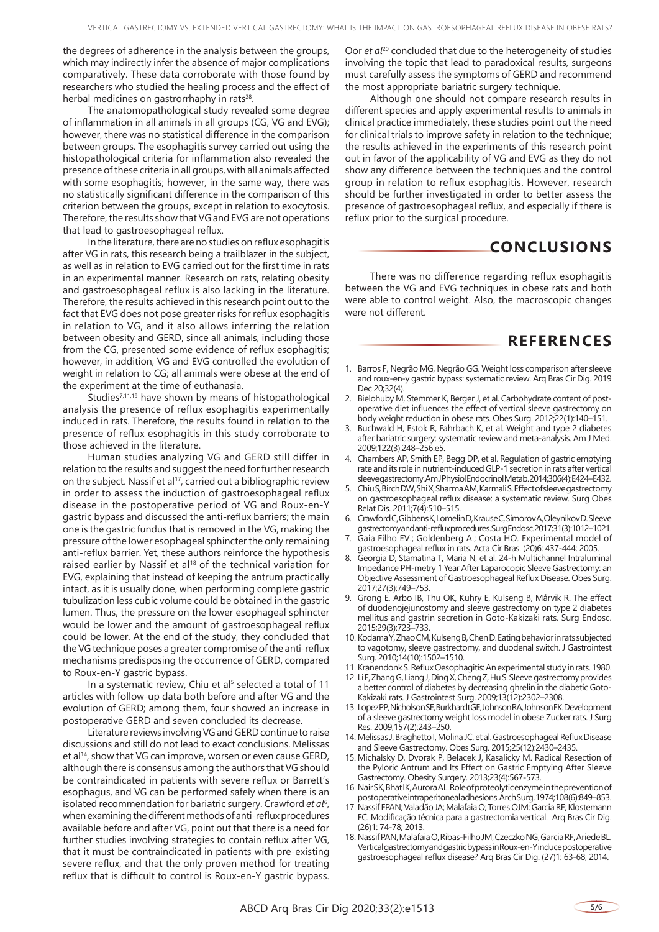the degrees of adherence in the analysis between the groups, which may indirectly infer the absence of major complications comparatively. These data corroborate with those found by researchers who studied the healing process and the effect of herbal medicines on gastrorrhaphy in rats<sup>28</sup>.

The anatomopathological study revealed some degree of inflammation in all animals in all groups (CG, VG and EVG); however, there was no statistical difference in the comparison between groups. The esophagitis survey carried out using the histopathological criteria for inflammation also revealed the presence of these criteria in all groups, with all animals affected with some esophagitis; however, in the same way, there was no statistically significant difference in the comparison of this criterion between the groups, except in relation to exocytosis. Therefore, the results show that VG and EVG are not operations that lead to gastroesophageal reflux.

In the literature, there are no studies on reflux esophagitis after VG in rats, this research being a trailblazer in the subject, as well as in relation to EVG carried out for the first time in rats in an experimental manner. Research on rats, relating obesity and gastroesophageal reflux is also lacking in the literature. Therefore, the results achieved in this research point out to the fact that EVG does not pose greater risks for reflux esophagitis in relation to VG, and it also allows inferring the relation between obesity and GERD, since all animals, including those from the CG, presented some evidence of reflux esophagitis; however, in addition, VG and EVG controlled the evolution of weight in relation to CG; all animals were obese at the end of the experiment at the time of euthanasia.

Studies7,11,19 have shown by means of histopathological analysis the presence of reflux esophagitis experimentally induced in rats. Therefore, the results found in relation to the presence of reflux esophagitis in this study corroborate to those achieved in the literature.

Human studies analyzing VG and GERD still differ in relation to the results and suggest the need for further research on the subject. Nassif et al<sup>17</sup>, carried out a bibliographic review in order to assess the induction of gastroesophageal reflux disease in the postoperative period of VG and Roux-en-Y gastric bypass and discussed the anti-reflux barriers; the main one is the gastric fundus that is removed in the VG, making the pressure of the lower esophageal sphincter the only remaining anti-reflux barrier. Yet, these authors reinforce the hypothesis raised earlier by Nassif et al<sup>18</sup> of the technical variation for EVG, explaining that instead of keeping the antrum practically intact, as it is usually done, when performing complete gastric tubulization less cubic volume could be obtained in the gastric lumen. Thus, the pressure on the lower esophageal sphincter would be lower and the amount of gastroesophageal reflux could be lower. At the end of the study, they concluded that the VG technique poses a greater compromise of the anti-reflux mechanisms predisposing the occurrence of GERD, compared to Roux-en-Y gastric bypass.

In a systematic review, Chiu et al<sup>5</sup> selected a total of 11 articles with follow-up data both before and after VG and the evolution of GERD; among them, four showed an increase in postoperative GERD and seven concluded its decrease.

Literature reviews involving VG and GERD continue to raise discussions and still do not lead to exact conclusions. Melissas et al<sup>14</sup>, show that VG can improve, worsen or even cause GERD, although there is consensus among the authors that VG should be contraindicated in patients with severe reflux or Barrett's esophagus, and VG can be performed safely when there is an isolated recommendation for bariatric surgery. Crawford et al<sup>6</sup>, when examining the different methods of anti-reflux procedures available before and after VG, point out that there is a need for further studies involving strategies to contain reflux after VG, that it must be contraindicated in patients with pre-existing severe reflux, and that the only proven method for treating reflux that is difficult to control is Roux-en-Y gastric bypass.

Oor *et al*<sup>20</sup> concluded that due to the heterogeneity of studies involving the topic that lead to paradoxical results, surgeons must carefully assess the symptoms of GERD and recommend the most appropriate bariatric surgery technique.

Although one should not compare research results in different species and apply experimental results to animals in clinical practice immediately, these studies point out the need for clinical trials to improve safety in relation to the technique; the results achieved in the experiments of this research point out in favor of the applicability of VG and EVG as they do not show any difference between the techniques and the control group in relation to reflux esophagitis. However, research should be further investigated in order to better assess the presence of gastroesophageal reflux, and especially if there is reflux prior to the surgical procedure.

# **CONCLUSIONS**

There was no difference regarding reflux esophagitis between the VG and EVG techniques in obese rats and both were able to control weight. Also, the macroscopic changes were not different.

### **REFERENCES**

- 1. Barros F, Negrão MG, Negrão GG. Weight loss comparison after sleeve and roux-en-y gastric bypass: systematic review. Arq Bras Cir Dig. 2019 Dec 20:32(4).
- 2. Bielohuby M, Stemmer K, Berger J, et al. Carbohydrate content of postoperative diet influences the effect of vertical sleeve gastrectomy on body weight reduction in obese rats. Obes Surg. 2012;22(1):140–151.
- 3. Buchwald H, Estok R, Fahrbach K, et al. Weight and type 2 diabetes after bariatric surgery: systematic review and meta-analysis. Am J Med. 2009;122(3):248–256.e5.
- 4. Chambers AP, Smith EP, Begg DP, et al. Regulation of gastric emptying rate and its role in nutrient-induced GLP-1 secretion in rats after vertical sleeve gastrectomy.Am J Physiol Endocrinol Metab. 2014;306(4):E424–E432.
- 5. Chiu S, Birch DW, Shi X, Sharma AM, Karmali S. Effect of sleeve gastrectomy on gastroesophageal reflux disease: a systematic review. Surg Obes Relat Dis. 2011;7(4):510–515.
- 6. Crawford C, Gibbens K, Lomelin D, Krause C, Simorov A, Oleynikov D. Sleeve gastrectomy and anti-reflux procedures.Surg Endosc. 2017;31(3):1012–1021.
- Gaia Filho EV.; Goldenberg A.; Costa HO. Experimental model of gastroesophageal reflux in rats. Acta Cir Bras. (20)6: 437-444; 2005.
- 8. Georgia D, Stamatina T, Maria N, et al. 24-h Multichannel Intraluminal Impedance PH-metry 1 Year After Laparocopic Sleeve Gastrectomy: an Objective Assessment of Gastroesophageal Reflux Disease. Obes Surg. 2017;27(3):749–753.
- 9. Grong E, Arbo IB, Thu OK, Kuhry E, Kulseng B, Mårvik R. The effect of duodenojejunostomy and sleeve gastrectomy on type 2 diabetes mellitus and gastrin secretion in Goto-Kakizaki rats. Surg Endosc. 2015;29(3):723–733.
- 10. Kodama Y, Zhao CM, Kulseng B, Chen D. Eating behavior in rats subjected to vagotomy, sleeve gastrectomy, and duodenal switch. J Gastrointest Surg. 2010;14(10):1502–1510.
- 11. Kranendonk S. Reflux Oesophagitis: An experimental study in rats. 1980.
- 12. Li F, Zhang G, Liang J, Ding X, Cheng Z, Hu S. Sleeve gastrectomy provides a better control of diabetes by decreasing ghrelin in the diabetic Goto-Kakizaki rats. J Gastrointest Surg. 2009;13(12):2302–2308.
- 13. Lopez PP, Nicholson SE, Burkhardt GE, Johnson RA, Johnson FK. Development of a sleeve gastrectomy weight loss model in obese Zucker rats. J Surg Res. 2009;157(2):243–250.
- 14. Melissas J, Braghetto I, Molina JC, et al. Gastroesophageal Reflux Disease and Sleeve Gastrectomy. Obes Surg. 2015;25(12):2430–2435.
- 15. Michalsky D, Dvorak P, Belacek J, Kasalicky M. Radical Resection of the Pyloric Antrum and Its Effect on Gastric Emptying After Sleeve Gastrectomy. Obesity Surgery. 2013;23(4):567-573.
- 16. Nair SK, Bhat IK, Aurora AL. Role of proteolytic enzyme in the prevention of postoperative intraperitoneal adhesions.Arch Surg. 1974;108(6):849–853.
- 17. Nassif FPAN; Valadão JA; Malafaia O; Torres OJM; Garcia RF; Klostemann FC. Modificação técnica para a gastrectomia vertical. Arq Bras Cir Dig. (26)1: 74-78; 2013.
- 18. Nassif PAN, Malafaia O, Ribas-Filho JM, Czeczko NG, Garcia RF, Ariede BL. Vertical gastrectomy and gastric bypass in Roux-en-Y induce postoperative gastroesophageal reflux disease? Arq Bras Cir Dig. (27)1: 63-68; 2014.